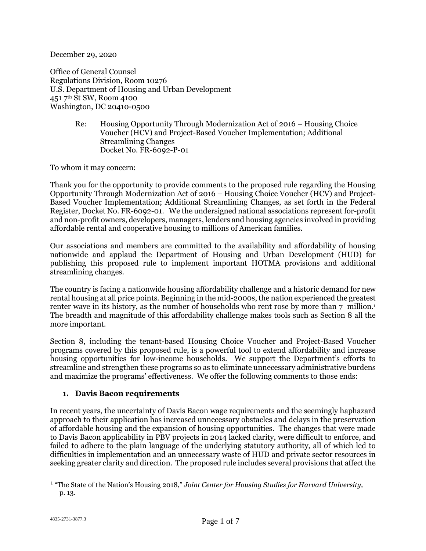December 29, 2020

Office of General Counsel Regulations Division, Room 10276 U.S. Department of Housing and Urban Development 451 7th St SW, Room 4100 Washington, DC 20410-0500

> Re: Housing Opportunity Through Modernization Act of 2016 – Housing Choice Voucher (HCV) and Project-Based Voucher Implementation; Additional Streamlining Changes Docket No. FR-6092-P-01

To whom it may concern:

Thank you for the opportunity to provide comments to the proposed rule regarding the Housing Opportunity Through Modernization Act of 2016 – Housing Choice Voucher (HCV) and Project-Based Voucher Implementation; Additional Streamlining Changes, as set forth in the Federal Register, Docket No. FR-6092-01. We the undersigned national associations represent for-profit and non-profit owners, developers, managers, lenders and housing agencies involved in providing affordable rental and cooperative housing to millions of American families.

Our associations and members are committed to the availability and affordability of housing nationwide and applaud the Department of Housing and Urban Development (HUD) for publishing this proposed rule to implement important HOTMA provisions and additional streamlining changes.

The country is facing a nationwide housing affordability challenge and a historic demand for new rental housing at all price points. Beginning in the mid-2000s, the nation experienced the greatest renter wave in its history, as the number of households who rent rose by more than 7 million.<sup>1</sup> The breadth and magnitude of this affordability challenge makes tools such as Section 8 all the more important.

Section 8, including the tenant-based Housing Choice Voucher and Project-Based Voucher programs covered by this proposed rule, is a powerful tool to extend affordability and increase housing opportunities for low-income households. We support the Department's efforts to streamline and strengthen these programs so as to eliminate unnecessary administrative burdens and maximize the programs' effectiveness. We offer the following comments to those ends:

## **1. Davis Bacon requirements**

In recent years, the uncertainty of Davis Bacon wage requirements and the seemingly haphazard approach to their application has increased unnecessary obstacles and delays in the preservation of affordable housing and the expansion of housing opportunities. The changes that were made to Davis Bacon applicability in PBV projects in 2014 lacked clarity, were difficult to enforce, and failed to adhere to the plain language of the underlying statutory authority, all of which led to difficulties in implementation and an unnecessary waste of HUD and private sector resources in seeking greater clarity and direction. The proposed rule includes several provisions that affect the

<sup>1</sup> "The State of the Nation's Housing 2018," *Joint Center for Housing Studies for Harvard University,* p. 13.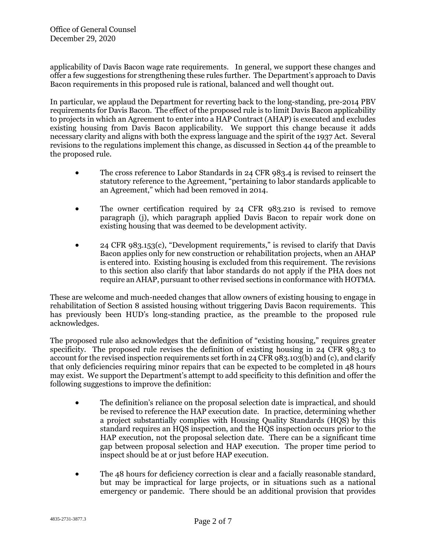applicability of Davis Bacon wage rate requirements. In general, we support these changes and offer a few suggestions for strengthening these rules further. The Department's approach to Davis Bacon requirements in this proposed rule is rational, balanced and well thought out.

In particular, we applaud the Department for reverting back to the long-standing, pre-2014 PBV requirements for Davis Bacon. The effect of the proposed rule is to limit Davis Bacon applicability to projects in which an Agreement to enter into a HAP Contract (AHAP) is executed and excludes existing housing from Davis Bacon applicability. We support this change because it adds necessary clarity and aligns with both the express language and the spirit of the 1937 Act. Several revisions to the regulations implement this change, as discussed in Section 44 of the preamble to the proposed rule.

- The cross reference to Labor Standards in 24 CFR 983.4 is revised to reinsert the statutory reference to the Agreement, "pertaining to labor standards applicable to an Agreement," which had been removed in 2014.
- The owner certification required by 24 CFR 983.210 is revised to remove paragraph (j), which paragraph applied Davis Bacon to repair work done on existing housing that was deemed to be development activity.
- 24 CFR 983.153(c), "Development requirements," is revised to clarify that Davis Bacon applies only for new construction or rehabilitation projects, when an AHAP is entered into. Existing housing is excluded from this requirement. The revisions to this section also clarify that labor standards do not apply if the PHA does not require an AHAP, pursuant to other revised sections in conformance with HOTMA*.*

These are welcome and much-needed changes that allow owners of existing housing to engage in rehabilitation of Section 8 assisted housing without triggering Davis Bacon requirements. This has previously been HUD's long-standing practice, as the preamble to the proposed rule acknowledges.

The proposed rule also acknowledges that the definition of "existing housing," requires greater specificity. The proposed rule revises the definition of existing housing in 24 CFR 983.3 to account for the revised inspection requirements set forth in 24 CFR 983.103(b) and (c), and clarify that only deficiencies requiring minor repairs that can be expected to be completed in 48 hours may exist. We support the Department's attempt to add specificity to this definition and offer the following suggestions to improve the definition:

- The definition's reliance on the proposal selection date is impractical, and should be revised to reference the HAP execution date. In practice, determining whether a project substantially complies with Housing Quality Standards (HQS) by this standard requires an HQS inspection, and the HQS inspection occurs prior to the HAP execution, not the proposal selection date. There can be a significant time gap between proposal selection and HAP execution. The proper time period to inspect should be at or just before HAP execution.
- The 48 hours for deficiency correction is clear and a facially reasonable standard, but may be impractical for large projects, or in situations such as a national emergency or pandemic. There should be an additional provision that provides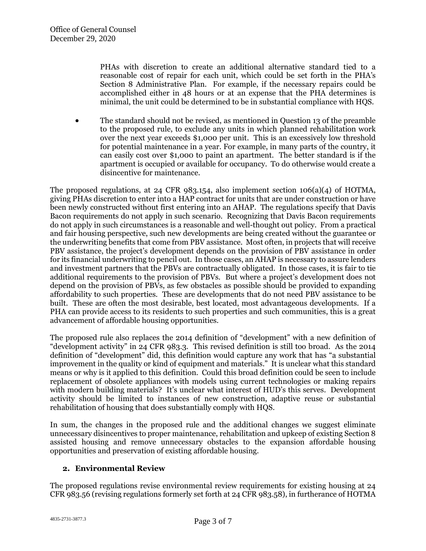PHAs with discretion to create an additional alternative standard tied to a reasonable cost of repair for each unit, which could be set forth in the PHA's Section 8 Administrative Plan. For example, if the necessary repairs could be accomplished either in 48 hours or at an expense that the PHA determines is minimal, the unit could be determined to be in substantial compliance with HQS.

 The standard should not be revised, as mentioned in Question 13 of the preamble to the proposed rule, to exclude any units in which planned rehabilitation work over the next year exceeds \$1,000 per unit. This is an excessively low threshold for potential maintenance in a year. For example, in many parts of the country, it can easily cost over \$1,000 to paint an apartment. The better standard is if the apartment is occupied or available for occupancy. To do otherwise would create a disincentive for maintenance.

The proposed regulations, at 24 CFR 983.154, also implement section  $106(a)(4)$  of HOTMA, giving PHAs discretion to enter into a HAP contract for units that are under construction or have been newly constructed without first entering into an AHAP. The regulations specify that Davis Bacon requirements do not apply in such scenario. Recognizing that Davis Bacon requirements do not apply in such circumstances is a reasonable and well-thought out policy. From a practical and fair housing perspective, such new developments are being created without the guarantee or the underwriting benefits that come from PBV assistance. Most often, in projects that will receive PBV assistance, the project's development depends on the provision of PBV assistance in order for its financial underwriting to pencil out. In those cases, an AHAP is necessary to assure lenders and investment partners that the PBVs are contractually obligated. In those cases, it is fair to tie additional requirements to the provision of PBVs. But where a project's development does not depend on the provision of PBVs, as few obstacles as possible should be provided to expanding affordability to such properties. These are developments that do not need PBV assistance to be built. These are often the most desirable, best located, most advantageous developments. If a PHA can provide access to its residents to such properties and such communities, this is a great advancement of affordable housing opportunities.

The proposed rule also replaces the 2014 definition of "development" with a new definition of "development activity" in 24 CFR 983.3. This revised definition is still too broad. As the 2014 definition of "development" did, this definition would capture any work that has "a substantial improvement in the quality or kind of equipment and materials." It is unclear what this standard means or why is it applied to this definition. Could this broad definition could be seen to include replacement of obsolete appliances with models using current technologies or making repairs with modern building materials? It's unclear what interest of HUD's this serves. Development activity should be limited to instances of new construction, adaptive reuse or substantial rehabilitation of housing that does substantially comply with HQS.

In sum, the changes in the proposed rule and the additional changes we suggest eliminate unnecessary disincentives to proper maintenance, rehabilitation and upkeep of existing Section 8 assisted housing and remove unnecessary obstacles to the expansion affordable housing opportunities and preservation of existing affordable housing.

## **2. Environmental Review**

The proposed regulations revise environmental review requirements for existing housing at 24 CFR 983.56 (revising regulations formerly set forth at 24 CFR 983.58), in furtherance of HOTMA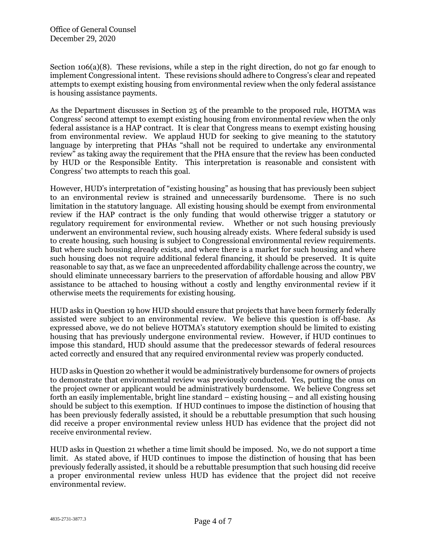Section 106(a)(8). These revisions, while a step in the right direction, do not go far enough to implement Congressional intent. These revisions should adhere to Congress's clear and repeated attempts to exempt existing housing from environmental review when the only federal assistance is housing assistance payments.

As the Department discusses in Section 25 of the preamble to the proposed rule, HOTMA was Congress' second attempt to exempt existing housing from environmental review when the only federal assistance is a HAP contract. It is clear that Congress means to exempt existing housing from environmental review. We applaud HUD for seeking to give meaning to the statutory language by interpreting that PHAs "shall not be required to undertake any environmental review" as taking away the requirement that the PHA ensure that the review has been conducted by HUD or the Responsible Entity. This interpretation is reasonable and consistent with Congress' two attempts to reach this goal.

However, HUD's interpretation of "existing housing" as housing that has previously been subject to an environmental review is strained and unnecessarily burdensome. There is no such limitation in the statutory language. All existing housing should be exempt from environmental review if the HAP contract is the only funding that would otherwise trigger a statutory or regulatory requirement for environmental review. Whether or not such housing previously underwent an environmental review, such housing already exists. Where federal subsidy is used to create housing, such housing is subject to Congressional environmental review requirements. But where such housing already exists, and where there is a market for such housing and where such housing does not require additional federal financing, it should be preserved. It is quite reasonable to say that, as we face an unprecedented affordability challenge across the country, we should eliminate unnecessary barriers to the preservation of affordable housing and allow PBV assistance to be attached to housing without a costly and lengthy environmental review if it otherwise meets the requirements for existing housing.

HUD asks in Question 19 how HUD should ensure that projects that have been formerly federally assisted were subject to an environmental review. We believe this question is off-base. As expressed above, we do not believe HOTMA's statutory exemption should be limited to existing housing that has previously undergone environmental review. However, if HUD continues to impose this standard, HUD should assume that the predecessor stewards of federal resources acted correctly and ensured that any required environmental review was properly conducted.

HUD asks in Question 20 whether it would be administratively burdensome for owners of projects to demonstrate that environmental review was previously conducted. Yes, putting the onus on the project owner or applicant would be administratively burdensome. We believe Congress set forth an easily implementable, bright line standard – existing housing – and all existing housing should be subject to this exemption. If HUD continues to impose the distinction of housing that has been previously federally assisted, it should be a rebuttable presumption that such housing did receive a proper environmental review unless HUD has evidence that the project did not receive environmental review.

HUD asks in Question 21 whether a time limit should be imposed. No, we do not support a time limit. As stated above, if HUD continues to impose the distinction of housing that has been previously federally assisted, it should be a rebuttable presumption that such housing did receive a proper environmental review unless HUD has evidence that the project did not receive environmental review.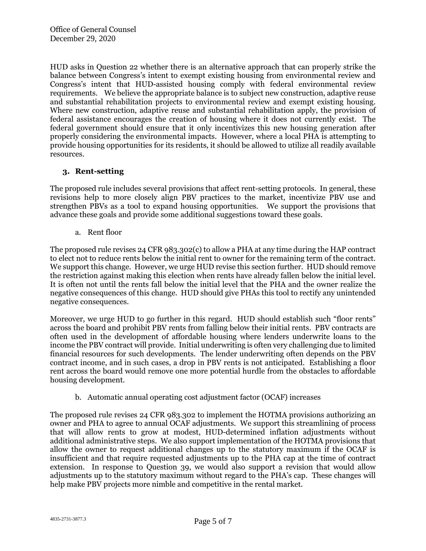HUD asks in Question 22 whether there is an alternative approach that can properly strike the balance between Congress's intent to exempt existing housing from environmental review and Congress's intent that HUD-assisted housing comply with federal environmental review requirements. We believe the appropriate balance is to subject new construction, adaptive reuse and substantial rehabilitation projects to environmental review and exempt existing housing. Where new construction, adaptive reuse and substantial rehabilitation apply, the provision of federal assistance encourages the creation of housing where it does not currently exist. The federal government should ensure that it only incentivizes this new housing generation after properly considering the environmental impacts. However, where a local PHA is attempting to provide housing opportunities for its residents, it should be allowed to utilize all readily available resources.

## **3. Rent-setting**

The proposed rule includes several provisions that affect rent-setting protocols. In general, these revisions help to more closely align PBV practices to the market, incentivize PBV use and strengthen PBVs as a tool to expand housing opportunities. We support the provisions that advance these goals and provide some additional suggestions toward these goals.

a. Rent floor

The proposed rule revises 24 CFR 983.302(c) to allow a PHA at any time during the HAP contract to elect not to reduce rents below the initial rent to owner for the remaining term of the contract. We support this change. However, we urge HUD revise this section further. HUD should remove the restriction against making this election when rents have already fallen below the initial level. It is often not until the rents fall below the initial level that the PHA and the owner realize the negative consequences of this change. HUD should give PHAs this tool to rectify any unintended negative consequences.

Moreover, we urge HUD to go further in this regard. HUD should establish such "floor rents" across the board and prohibit PBV rents from falling below their initial rents. PBV contracts are often used in the development of affordable housing where lenders underwrite loans to the income the PBV contract will provide. Initial underwriting is often very challenging due to limited financial resources for such developments. The lender underwriting often depends on the PBV contract income, and in such cases, a drop in PBV rents is not anticipated. Establishing a floor rent across the board would remove one more potential hurdle from the obstacles to affordable housing development.

b. Automatic annual operating cost adjustment factor (OCAF) increases

The proposed rule revises 24 CFR 983.302 to implement the HOTMA provisions authorizing an owner and PHA to agree to annual OCAF adjustments. We support this streamlining of process that will allow rents to grow at modest, HUD-determined inflation adjustments without additional administrative steps. We also support implementation of the HOTMA provisions that allow the owner to request additional changes up to the statutory maximum if the OCAF is insufficient and that require requested adjustments up to the PHA cap at the time of contract extension. In response to Question 39, we would also support a revision that would allow adjustments up to the statutory maximum without regard to the PHA's cap. These changes will help make PBV projects more nimble and competitive in the rental market.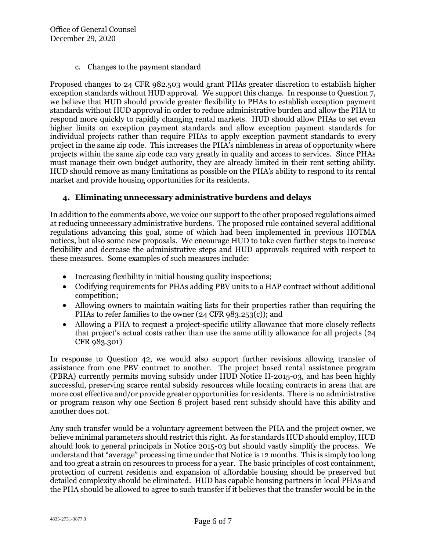c. Changes to the payment standard

Proposed changes to 24 CFR 982.503 would grant PHAs greater discretion to establish higher exception standards without HUD approval. We support this change. In response to Question 7, we believe that HUD should provide greater flexibility to PHAs to establish exception payment standards without HUD approval in order to reduce administrative burden and allow the PHA to respond more quickly to rapidly changing rental markets. HUD should allow PHAs to set even higher limits on exception payment standards and allow exception payment standards for individual projects rather than require PHAs to apply exception payment standards to every project in the same zip code. This increases the PHA's nimbleness in areas of opportunity where projects within the same zip code can vary greatly in quality and access to services. Since PHAs must manage their own budget authority, they are already limited in their rent setting ability. HUD should remove as many limitations as possible on the PHA's ability to respond to its rental market and provide housing opportunities for its residents.

## **4. Eliminating unnecessary administrative burdens and delays**

In addition to the comments above, we voice our support to the other proposed regulations aimed at reducing unnecessary administrative burdens. The proposed rule contained several additional regulations advancing this goal, some of which had been implemented in previous HOTMA notices, but also some new proposals. We encourage HUD to take even further steps to increase flexibility and decrease the administrative steps and HUD approvals required with respect to these measures. Some examples of such measures include:

- Increasing flexibility in initial housing quality inspections;
- Codifying requirements for PHAs adding PBV units to a HAP contract without additional competition;
- Allowing owners to maintain waiting lists for their properties rather than requiring the PHAs to refer families to the owner (24 CFR 983.253(c)); and
- Allowing a PHA to request a project-specific utility allowance that more closely reflects that project's actual costs rather than use the same utility allowance for all projects (24 CFR 983.301)

In response to Question 42, we would also support further revisions allowing transfer of assistance from one PBV contract to another. The project based rental assistance program (PBRA) currently permits moving subsidy under HUD Notice H-2015-03, and has been highly successful, preserving scarce rental subsidy resources while locating contracts in areas that are more cost effective and/or provide greater opportunities for residents. There is no administrative or program reason why one Section 8 project based rent subsidy should have this ability and another does not.

Any such transfer would be a voluntary agreement between the PHA and the project owner, we believe minimal parameters should restrict this right. As for standards HUD should employ, HUD should look to general principals in Notice 2015-03 but should vastly simplify the process. We understand that "average" processing time under that Notice is 12 months. This is simply too long and too great a strain on resources to process for a year. The basic principles of cost containment, protection of current residents and expansion of affordable housing should be preserved but detailed complexity should be eliminated. HUD has capable housing partners in local PHAs and the PHA should be allowed to agree to such transfer if it believes that the transfer would be in the